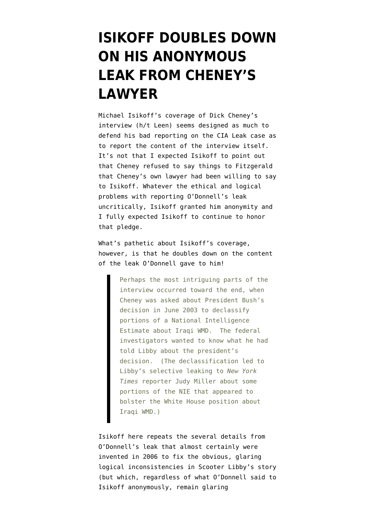## **[ISIKOFF DOUBLES DOWN](https://www.emptywheel.net/2009/11/02/isikoff-doubles-down-on-his-anonymous-leak-from-cheneys-lawyer/) [ON HIS ANONYMOUS](https://www.emptywheel.net/2009/11/02/isikoff-doubles-down-on-his-anonymous-leak-from-cheneys-lawyer/) [LEAK FROM CHENEY'S](https://www.emptywheel.net/2009/11/02/isikoff-doubles-down-on-his-anonymous-leak-from-cheneys-lawyer/) [LAWYER](https://www.emptywheel.net/2009/11/02/isikoff-doubles-down-on-his-anonymous-leak-from-cheneys-lawyer/)**

Michael Isikoff's [coverage](http://blog.newsweek.com/blogs/declassified/archive/2009/10/30/dick-cheney-an-irascible-witness.aspx) of Dick Cheney's interview (h/t Leen) seems designed as much to defend his bad reporting on the CIA Leak case as to report the content of the interview itself. It's not that I expected Isikoff to point out that Cheney refused to say things to Fitzgerald that [Cheney's own lawyer](http://emptywheel.firedoglake.com/2009/10/30/why-did-terry-odonnell-tell-michael-isikoff-what-cheney-refused-to-tell-fitzgerald/) had been willing to say to Isikoff. Whatever the ethical and logical problems with reporting O'Donnell's leak uncritically, Isikoff granted him anonymity and I fully expected Isikoff to continue to honor that pledge.

What's pathetic about Isikoff's coverage, however, is that he doubles down on the content of the leak O'Donnell gave to him!

> Perhaps the most intriguing parts of the interview occurred toward the end, when Cheney was asked about President Bush's decision in June 2003 to declassify portions of a National Intelligence Estimate about Iraqi WMD. The federal investigators wanted to know what he had told Libby about the president's decision. (The declassification led to Libby's selective leaking to *New York Times* reporter Judy Miller about some portions of the NIE that appeared to bolster the White House position about Iraqi WMD.)

Isikoff here repeats the several details from O'Donnell's leak that almost certainly were invented in 2006 to fix the obvious, glaring logical inconsistencies in Scooter Libby's story (but which, regardless of what O'Donnell said to Isikoff anonymously, remain glaring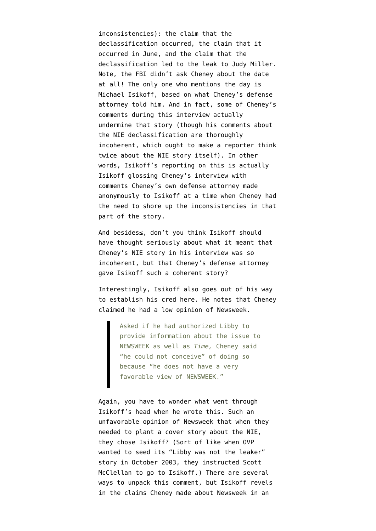inconsistencies): the claim that the declassification occurred, the claim that it occurred in June, and the claim that the declassification led to the leak to Judy Miller. Note, the FBI didn't ask Cheney about the date at all! The only one who mentions the day is Michael Isikoff, based on what Cheney's defense attorney told him. And in fact, some of Cheney's comments during this interview actually undermine that story (though his comments about the NIE declassification are thoroughly incoherent, which ought to make a reporter think twice about the NIE story itself). In other words, Isikoff's reporting on this is actually Isikoff glossing Cheney's interview with comments Cheney's own defense attorney made anonymously to Isikoff at a time when Cheney had the need to shore up the inconsistencies in that part of the story.

And besides≤, don't you think Isikoff should have thought seriously about what it meant that Cheney's NIE story in his interview was so incoherent, but that Cheney's defense attorney gave Isikoff such a coherent story?

Interestingly, Isikoff also goes out of his way to establish his cred here. He notes that Cheney claimed he had a low opinion of Newsweek.

> Asked if he had authorized Libby to provide information about the issue to NEWSWEEK as well as *Time,* Cheney said "he could not conceive" of doing so because "he does not have a very favorable view of NEWSWEEK."

Again, you have to wonder what went through Isikoff's head when he wrote this. Such an unfavorable opinion of Newsweek that when they needed to plant a cover story about the NIE, they chose Isikoff? (Sort of like when OVP wanted to seed its "Libby was not the leaker" story in October 2003, they instructed Scott McClellan to go to Isikoff.) There are several ways to unpack this comment, but Isikoff revels in the claims Cheney made about Newsweek in an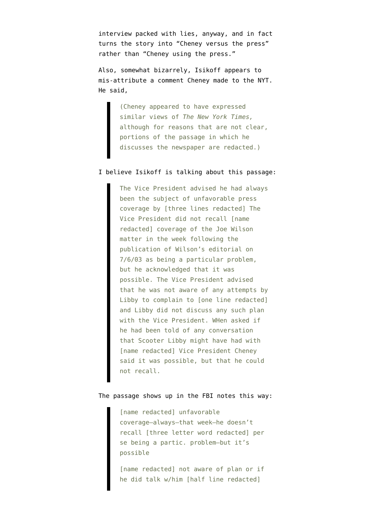interview packed with lies, anyway, and in fact turns the story into "Cheney versus the press" rather than "Cheney using the press."

Also, somewhat bizarrely, Isikoff appears to mis-attribute a comment Cheney made to the NYT. He said,

> (Cheney appeared to have expressed similar views of *The New York Times,* although for reasons that are not clear, portions of the passage in which he discusses the newspaper are redacted.)

## I believe Isikoff is talking about [this passage:](http://www.citizensforethics.org/node/43172)

The Vice President advised he had always been the subject of unfavorable press coverage by [three lines redacted] The Vice President did not recall [name redacted] coverage of the Joe Wilson matter in the week following the publication of Wilson's editorial on 7/6/03 as being a particular problem, but he acknowledged that it was possible. The Vice President advised that he was not aware of any attempts by Libby to complain to [one line redacted] and Libby did not discuss any such plan with the Vice President. WHen asked if he had been told of any conversation that Scooter Libby might have had with [name redacted] Vice President Cheney said it was possible, but that he could not recall.

## The passage shows up in the [FBI notes](http://www.citizensforethics.org/node/43171) this way:

[name redacted] unfavorable coverage–always–that week–he doesn't recall [three letter word redacted] per se being a partic. problem–but it's possible

[name redacted] not aware of plan or if he did talk w/him [half line redacted]